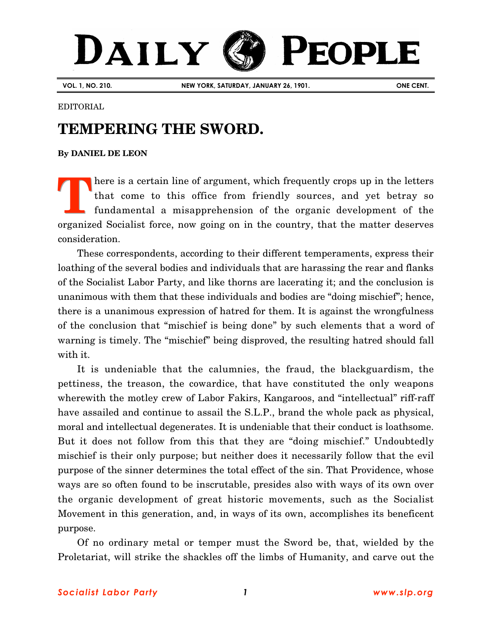## DAILY **PEOPLE**

**VOL. 1, NO. 210. NEW YORK, SATURDAY, JANUARY 26, 1901. ONE CENT.**

## EDITORIAL

## **TEMPERING THE SWORD.**

**By [DANIEL DE LEON](http://www.slp.org/De_Leon.htm)**

here is a certain line of argument, which frequently crops up in the letters that come to this office from friendly sources, and yet betray so fundamental a misapprehension of the organic development of the organized Socialist force, now going on in the country, that the matter deserves consideration. **T**

These correspondents, according to their different temperaments, express their loathing of the several bodies and individuals that are harassing the rear and flanks of the Socialist Labor Party, and like thorns are lacerating it; and the conclusion is unanimous with them that these individuals and bodies are "doing mischief"; hence, there is a unanimous expression of hatred for them. It is against the wrongfulness of the conclusion that "mischief is being done" by such elements that a word of warning is timely. The "mischief" being disproved, the resulting hatred should fall with it.

It is undeniable that the calumnies, the fraud, the blackguardism, the pettiness, the treason, the cowardice, that have constituted the only weapons wherewith the motley crew of Labor Fakirs, Kangaroos, and "intellectual" riff-raff have assailed and continue to assail the S.L.P., brand the whole pack as physical, moral and intellectual degenerates. It is undeniable that their conduct is loathsome. But it does not follow from this that they are "doing mischief." Undoubtedly mischief is their only purpose; but neither does it necessarily follow that the evil purpose of the sinner determines the total effect of the sin. That Providence, whose ways are so often found to be inscrutable, presides also with ways of its own over the organic development of great historic movements, such as the Socialist Movement in this generation, and, in ways of its own, accomplishes its beneficent purpose.

Of no ordinary metal or temper must the Sword be, that, wielded by the Proletariat, will strike the shackles off the limbs of Humanity, and carve out the